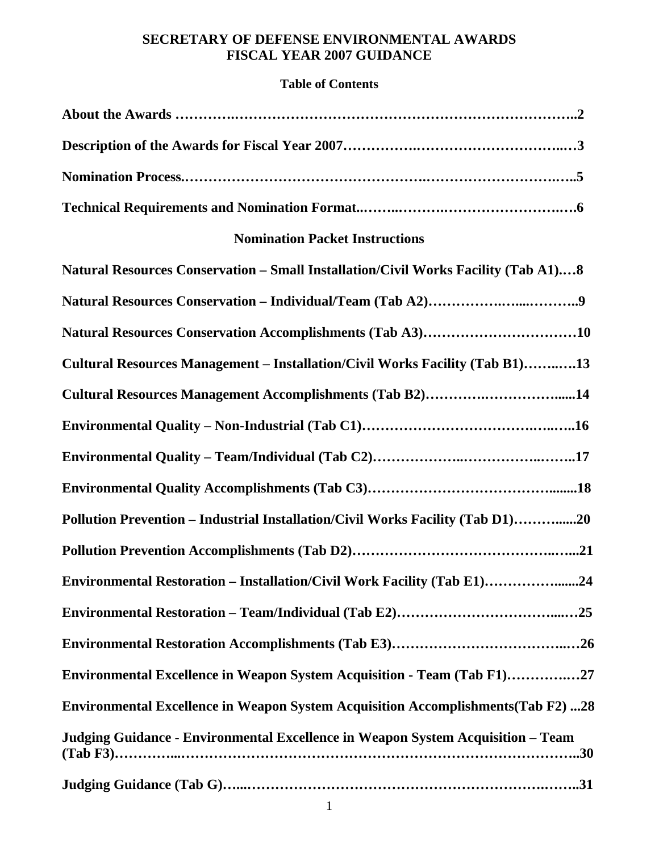#### **SECRETARY OF DEFENSE ENVIRONMENTAL AWARDS FISCAL YEAR 2007 GUIDANCE**

#### **Table of Contents**

# **Nomination Packet Instructions**

| <b>Natural Resources Conservation - Small Installation/Civil Works Facility (Tab A1)8</b> |
|-------------------------------------------------------------------------------------------|
|                                                                                           |
| Natural Resources Conservation Accomplishments (Tab A3)10                                 |
| Cultural Resources Management - Installation/Civil Works Facility (Tab B1)13              |
| Cultural Resources Management Accomplishments (Tab B2)14                                  |
|                                                                                           |
|                                                                                           |
|                                                                                           |
| Pollution Prevention - Industrial Installation/Civil Works Facility (Tab D1)20            |
|                                                                                           |
| Environmental Restoration - Installation/Civil Work Facility (Tab E1)24                   |
|                                                                                           |
|                                                                                           |
| Environmental Excellence in Weapon System Acquisition - Team (Tab F1)27                   |
| <b>Environmental Excellence in Weapon System Acquisition Accomplishments (Tab F2) 28</b>  |
| Judging Guidance - Environmental Excellence in Weapon System Acquisition - Team           |
|                                                                                           |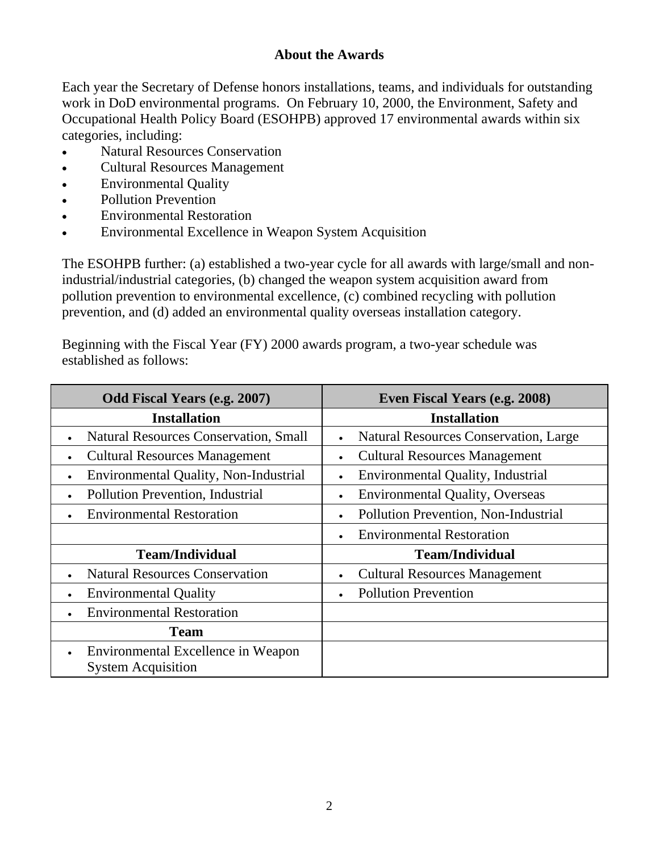#### **About the Awards**

Each year the Secretary of Defense honors installations, teams, and individuals for outstanding work in DoD environmental programs. On February 10, 2000, the Environment, Safety and Occupational Health Policy Board (ESOHPB) approved 17 environmental awards within six categories, including:

- Natural Resources Conservation
- Cultural Resources Management
- Environmental Quality
- Pollution Prevention
- Environmental Restoration
- Environmental Excellence in Weapon System Acquisition

The ESOHPB further: (a) established a two-year cycle for all awards with large/small and nonindustrial/industrial categories, (b) changed the weapon system acquisition award from pollution prevention to environmental excellence, (c) combined recycling with pollution prevention, and (d) added an environmental quality overseas installation category.

Beginning with the Fiscal Year (FY) 2000 awards program, a two-year schedule was established as follows:

| Odd Fiscal Years (e.g. 2007)                              | Even Fiscal Years (e.g. 2008)                         |
|-----------------------------------------------------------|-------------------------------------------------------|
| <b>Installation</b>                                       | <b>Installation</b>                                   |
| <b>Natural Resources Conservation, Small</b><br>$\bullet$ | Natural Resources Conservation, Large                 |
| <b>Cultural Resources Management</b><br>$\bullet$         | <b>Cultural Resources Management</b><br>$\bullet$     |
| <b>Environmental Quality, Non-Industrial</b><br>$\bullet$ | <b>Environmental Quality, Industrial</b><br>$\bullet$ |
| Pollution Prevention, Industrial<br>$\bullet$             | <b>Environmental Quality, Overseas</b>                |
| <b>Environmental Restoration</b>                          | Pollution Prevention, Non-Industrial<br>$\bullet$     |
|                                                           | <b>Environmental Restoration</b>                      |
| <b>Team/Individual</b>                                    | <b>Team/Individual</b>                                |
| <b>Natural Resources Conservation</b><br>$\bullet$        | <b>Cultural Resources Management</b>                  |
| <b>Environmental Quality</b><br>$\bullet$                 | <b>Pollution Prevention</b>                           |
| <b>Environmental Restoration</b>                          |                                                       |
| <b>Team</b>                                               |                                                       |
| Environmental Excellence in Weapon<br>$\bullet$           |                                                       |
| <b>System Acquisition</b>                                 |                                                       |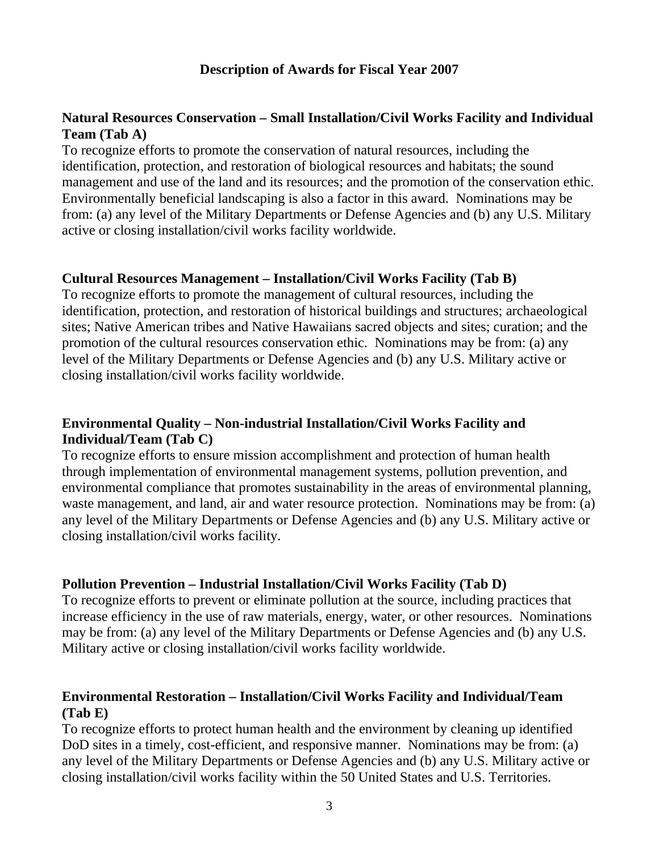#### **Description of Awards for Fiscal Year 2007**

#### **Natural Resources Conservation – Small Installation/Civil Works Facility and Individual Team (Tab A)**

To recognize efforts to promote the conservation of natural resources, including the identification, protection, and restoration of biological resources and habitats; the sound management and use of the land and its resources; and the promotion of the conservation ethic. Environmentally beneficial landscaping is also a factor in this award. Nominations may be from: (a) any level of the Military Departments or Defense Agencies and (b) any U.S. Military active or closing installation/civil works facility worldwide.

#### **Cultural Resources Management – Installation/Civil Works Facility (Tab B)**

To recognize efforts to promote the management of cultural resources, including the identification, protection, and restoration of historical buildings and structures; archaeological sites; Native American tribes and Native Hawaiians sacred objects and sites; curation; and the promotion of the cultural resources conservation ethic. Nominations may be from: (a) any level of the Military Departments or Defense Agencies and (b) any U.S. Military active or closing installation/civil works facility worldwide.

#### **Environmental Quality – Non-industrial Installation/Civil Works Facility and Individual/Team (Tab C)**

To recognize efforts to ensure mission accomplishment and protection of human health through implementation of environmental management systems, pollution prevention, and environmental compliance that promotes sustainability in the areas of environmental planning, waste management, and land, air and water resource protection. Nominations may be from: (a) any level of the Military Departments or Defense Agencies and (b) any U.S. Military active or closing installation/civil works facility.

#### **Pollution Prevention – Industrial Installation/Civil Works Facility (Tab D)**

To recognize efforts to prevent or eliminate pollution at the source, including practices that increase efficiency in the use of raw materials, energy, water, or other resources. Nominations may be from: (a) any level of the Military Departments or Defense Agencies and (b) any U.S. Military active or closing installation/civil works facility worldwide.

#### **Environmental Restoration – Installation/Civil Works Facility and Individual/Team (Tab E)**

To recognize efforts to protect human health and the environment by cleaning up identified DoD sites in a timely, cost-efficient, and responsive manner. Nominations may be from: (a) any level of the Military Departments or Defense Agencies and (b) any U.S. Military active or closing installation/civil works facility within the 50 United States and U.S. Territories.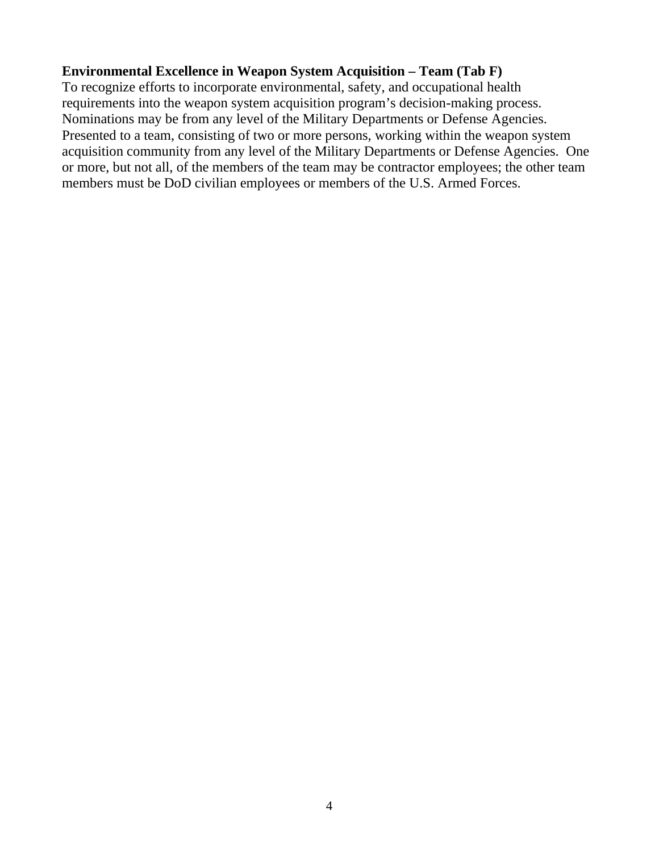#### **Environmental Excellence in Weapon System Acquisition – Team (Tab F)**

To recognize efforts to incorporate environmental, safety, and occupational health requirements into the weapon system acquisition program's decision-making process. Nominations may be from any level of the Military Departments or Defense Agencies. Presented to a team, consisting of two or more persons, working within the weapon system acquisition community from any level of the Military Departments or Defense Agencies. One or more, but not all, of the members of the team may be contractor employees; the other team members must be DoD civilian employees or members of the U.S. Armed Forces.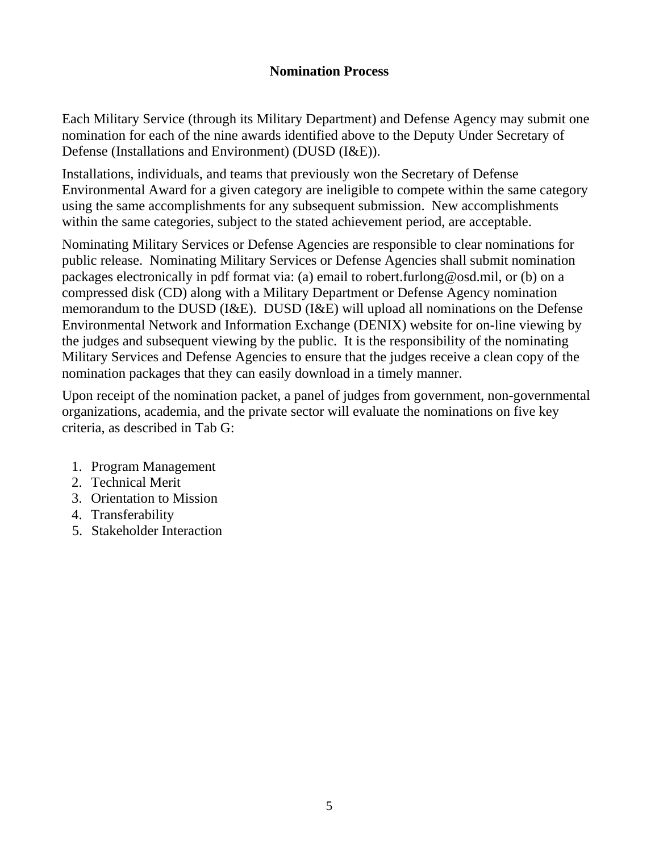#### **Nomination Process**

Each Military Service (through its Military Department) and Defense Agency may submit one nomination for each of the nine awards identified above to the Deputy Under Secretary of Defense (Installations and Environment) (DUSD (I&E)).

Installations, individuals, and teams that previously won the Secretary of Defense Environmental Award for a given category are ineligible to compete within the same category using the same accomplishments for any subsequent submission. New accomplishments within the same categories, subject to the stated achievement period, are acceptable.

Nominating Military Services or Defense Agencies are responsible to clear nominations for public release. Nominating Military Services or Defense Agencies shall submit nomination packages electronically in pdf format via: (a) email to robert.furlong@osd.mil, or (b) on a compressed disk (CD) along with a Military Department or Defense Agency nomination memorandum to the DUSD (I&E). DUSD (I&E) will upload all nominations on the Defense Environmental Network and Information Exchange (DENIX) website for on-line viewing by the judges and subsequent viewing by the public. It is the responsibility of the nominating Military Services and Defense Agencies to ensure that the judges receive a clean copy of the nomination packages that they can easily download in a timely manner.

Upon receipt of the nomination packet, a panel of judges from government, non-governmental organizations, academia, and the private sector will evaluate the nominations on five key criteria, as described in Tab G:

- 1. Program Management
- 2. Technical Merit
- 3. Orientation to Mission
- 4. Transferability
- 5. Stakeholder Interaction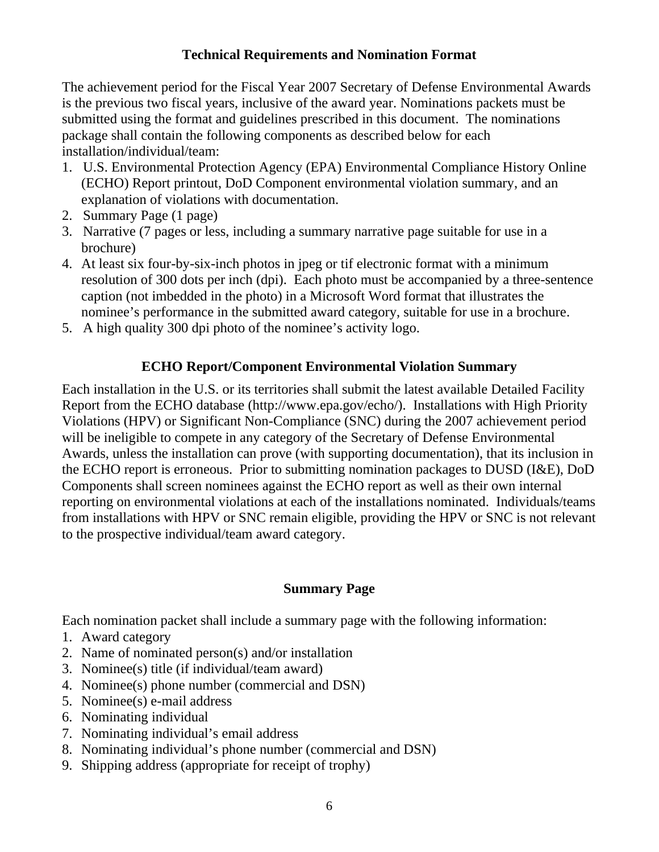### **Technical Requirements and Nomination Format**

The achievement period for the Fiscal Year 2007 Secretary of Defense Environmental Awards is the previous two fiscal years, inclusive of the award year. Nominations packets must be submitted using the format and guidelines prescribed in this document. The nominations package shall contain the following components as described below for each installation/individual/team:

- 1. U.S. Environmental Protection Agency (EPA) Environmental Compliance History Online (ECHO) Report printout, DoD Component environmental violation summary, and an explanation of violations with documentation.
- 2. Summary Page (1 page)
- 3. Narrative (7 pages or less, including a summary narrative page suitable for use in a brochure)
- 4. At least six four-by-six-inch photos in jpeg or tif electronic format with a minimum resolution of 300 dots per inch (dpi). Each photo must be accompanied by a three-sentence caption (not imbedded in the photo) in a Microsoft Word format that illustrates the nominee's performance in the submitted award category, suitable for use in a brochure.
- 5. A high quality 300 dpi photo of the nominee's activity logo.

#### **ECHO Report/Component Environmental Violation Summary**

Each installation in the U.S. or its territories shall submit the latest available Detailed Facility Report from the ECHO database (http://www.epa.gov/echo/). Installations with High Priority Violations (HPV) or Significant Non-Compliance (SNC) during the 2007 achievement period will be ineligible to compete in any category of the Secretary of Defense Environmental Awards, unless the installation can prove (with supporting documentation), that its inclusion in the ECHO report is erroneous. Prior to submitting nomination packages to DUSD (I&E), DoD Components shall screen nominees against the ECHO report as well as their own internal reporting on environmental violations at each of the installations nominated. Individuals/teams from installations with HPV or SNC remain eligible, providing the HPV or SNC is not relevant to the prospective individual/team award category.

#### **Summary Page**

Each nomination packet shall include a summary page with the following information:

- 1. Award category
- 2. Name of nominated person(s) and/or installation
- 3. Nominee(s) title (if individual/team award)
- 4. Nominee(s) phone number (commercial and DSN)
- 5. Nominee(s) e-mail address
- 6. Nominating individual
- 7. Nominating individual's email address
- 8. Nominating individual's phone number (commercial and DSN)
- 9. Shipping address (appropriate for receipt of trophy)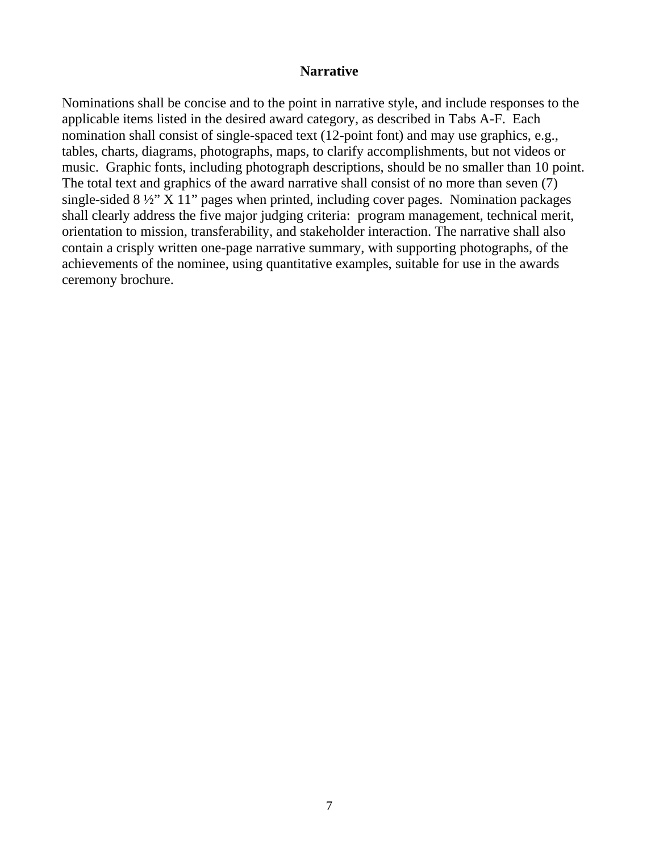#### **Narrative**

Nominations shall be concise and to the point in narrative style, and include responses to the applicable items listed in the desired award category, as described in Tabs A-F. Each nomination shall consist of single-spaced text (12-point font) and may use graphics, e.g., tables, charts, diagrams, photographs, maps, to clarify accomplishments, but not videos or music. Graphic fonts, including photograph descriptions, should be no smaller than 10 point. The total text and graphics of the award narrative shall consist of no more than seven (7) single-sided 8 ½" X 11" pages when printed, including cover pages. Nomination packages shall clearly address the five major judging criteria: program management, technical merit, orientation to mission, transferability, and stakeholder interaction. The narrative shall also contain a crisply written one-page narrative summary, with supporting photographs, of the achievements of the nominee, using quantitative examples, suitable for use in the awards ceremony brochure.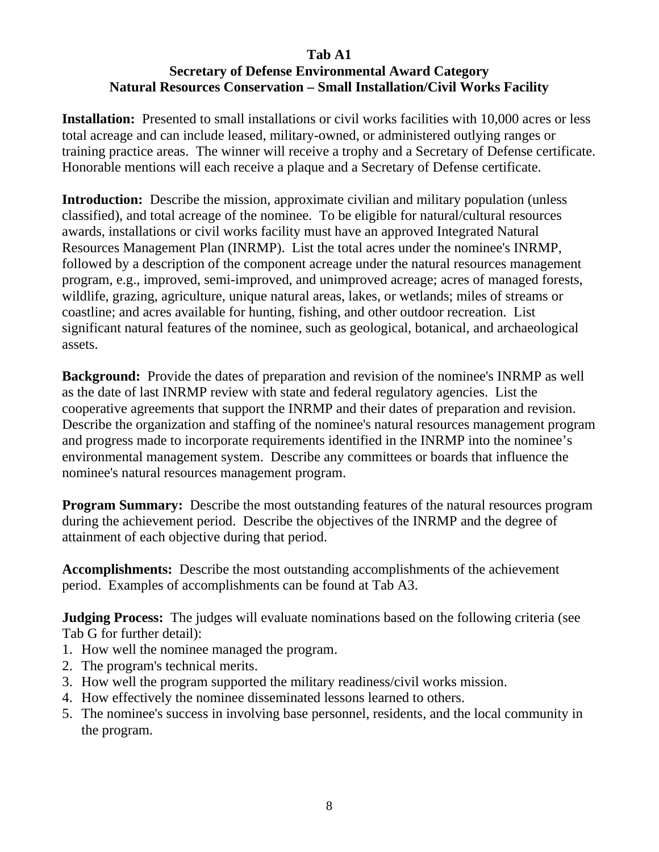#### **Tab A1**

# **Secretary of Defense Environmental Award Category Natural Resources Conservation – Small Installation/Civil Works Facility**

**Installation:** Presented to small installations or civil works facilities with 10,000 acres or less total acreage and can include leased, military-owned, or administered outlying ranges or training practice areas. The winner will receive a trophy and a Secretary of Defense certificate. Honorable mentions will each receive a plaque and a Secretary of Defense certificate.

**Introduction:** Describe the mission, approximate civilian and military population (unless classified), and total acreage of the nominee. To be eligible for natural/cultural resources awards, installations or civil works facility must have an approved Integrated Natural Resources Management Plan (INRMP). List the total acres under the nominee's INRMP, followed by a description of the component acreage under the natural resources management program, e.g., improved, semi-improved, and unimproved acreage; acres of managed forests, wildlife, grazing, agriculture, unique natural areas, lakes, or wetlands; miles of streams or coastline; and acres available for hunting, fishing, and other outdoor recreation. List significant natural features of the nominee, such as geological, botanical, and archaeological assets.

**Background:** Provide the dates of preparation and revision of the nominee's INRMP as well as the date of last INRMP review with state and federal regulatory agencies. List the cooperative agreements that support the INRMP and their dates of preparation and revision. Describe the organization and staffing of the nominee's natural resources management program and progress made to incorporate requirements identified in the INRMP into the nominee's environmental management system. Describe any committees or boards that influence the nominee's natural resources management program.

**Program Summary:** Describe the most outstanding features of the natural resources program during the achievement period. Describe the objectives of the INRMP and the degree of attainment of each objective during that period.

**Accomplishments:** Describe the most outstanding accomplishments of the achievement period. Examples of accomplishments can be found at Tab A3.

**Judging Process:** The judges will evaluate nominations based on the following criteria (see Tab G for further detail):

- 1. How well the nominee managed the program.
- 2. The program's technical merits.
- 3. How well the program supported the military readiness/civil works mission.
- 4. How effectively the nominee disseminated lessons learned to others.
- 5. The nominee's success in involving base personnel, residents, and the local community in the program.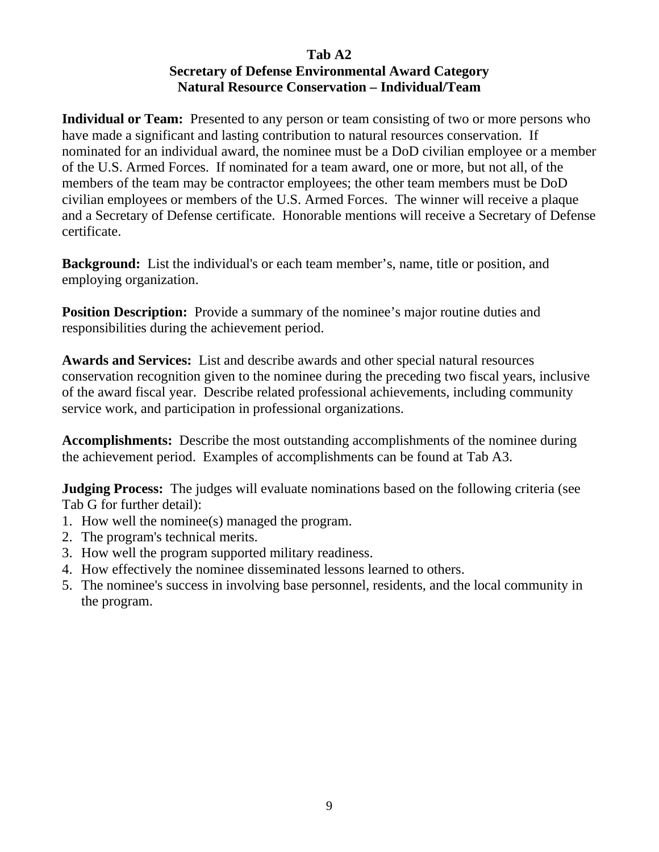### **Tab A2**

# **Secretary of Defense Environmental Award Category Natural Resource Conservation – Individual/Team**

**Individual or Team:** Presented to any person or team consisting of two or more persons who have made a significant and lasting contribution to natural resources conservation. If nominated for an individual award, the nominee must be a DoD civilian employee or a member of the U.S. Armed Forces. If nominated for a team award, one or more, but not all, of the members of the team may be contractor employees; the other team members must be DoD civilian employees or members of the U.S. Armed Forces. The winner will receive a plaque and a Secretary of Defense certificate. Honorable mentions will receive a Secretary of Defense certificate.

**Background:** List the individual's or each team member's, name, title or position, and employing organization.

**Position Description:** Provide a summary of the nominee's major routine duties and responsibilities during the achievement period.

**Awards and Services:** List and describe awards and other special natural resources conservation recognition given to the nominee during the preceding two fiscal years, inclusive of the award fiscal year. Describe related professional achievements, including community service work, and participation in professional organizations.

**Accomplishments:** Describe the most outstanding accomplishments of the nominee during the achievement period. Examples of accomplishments can be found at Tab A3.

**Judging Process:** The judges will evaluate nominations based on the following criteria (see Tab G for further detail):

- 1. How well the nominee(s) managed the program.
- 2. The program's technical merits.
- 3. How well the program supported military readiness.
- 4. How effectively the nominee disseminated lessons learned to others.
- 5. The nominee's success in involving base personnel, residents, and the local community in the program.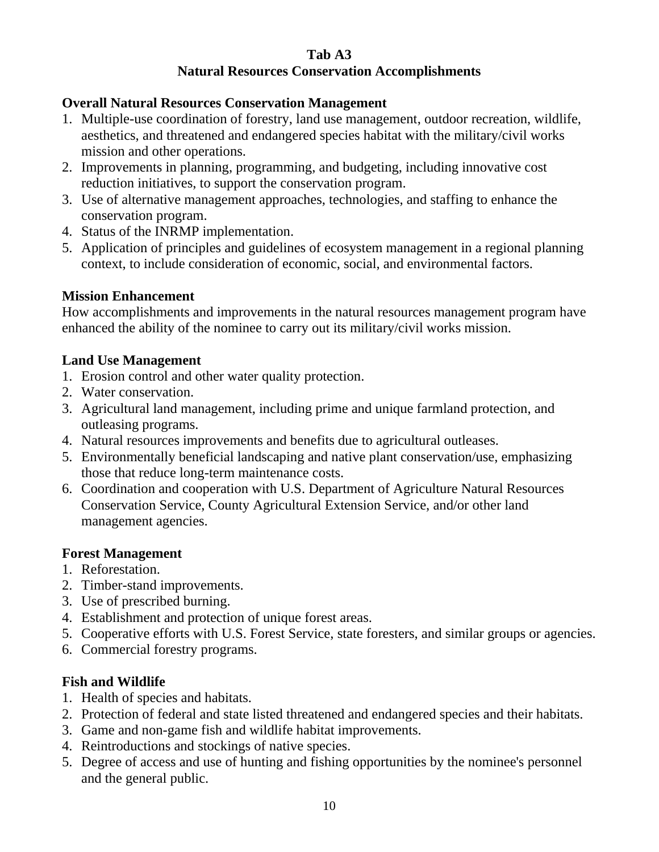#### **Tab A3 Natural Resources Conservation Accomplishments**

## **Overall Natural Resources Conservation Management**

- 1. Multiple-use coordination of forestry, land use management, outdoor recreation, wildlife, aesthetics, and threatened and endangered species habitat with the military/civil works mission and other operations.
- 2. Improvements in planning, programming, and budgeting, including innovative cost reduction initiatives, to support the conservation program.
- 3. Use of alternative management approaches, technologies, and staffing to enhance the conservation program.
- 4. Status of the INRMP implementation.
- 5. Application of principles and guidelines of ecosystem management in a regional planning context, to include consideration of economic, social, and environmental factors.

### **Mission Enhancement**

How accomplishments and improvements in the natural resources management program have enhanced the ability of the nominee to carry out its military/civil works mission.

### **Land Use Management**

- 1. Erosion control and other water quality protection.
- 2. Water conservation.
- 3. Agricultural land management, including prime and unique farmland protection, and outleasing programs.
- 4. Natural resources improvements and benefits due to agricultural outleases.
- 5. Environmentally beneficial landscaping and native plant conservation/use, emphasizing those that reduce long-term maintenance costs.
- 6. Coordination and cooperation with U.S. Department of Agriculture Natural Resources Conservation Service, County Agricultural Extension Service, and/or other land management agencies.

### **Forest Management**

- 1. Reforestation.
- 2. Timber-stand improvements.
- 3. Use of prescribed burning.
- 4. Establishment and protection of unique forest areas.
- 5. Cooperative efforts with U.S. Forest Service, state foresters, and similar groups or agencies.
- 6. Commercial forestry programs.

### **Fish and Wildlife**

- 1. Health of species and habitats.
- 2. Protection of federal and state listed threatened and endangered species and their habitats.
- 3. Game and non-game fish and wildlife habitat improvements.
- 4. Reintroductions and stockings of native species.
- 5. Degree of access and use of hunting and fishing opportunities by the nominee's personnel and the general public.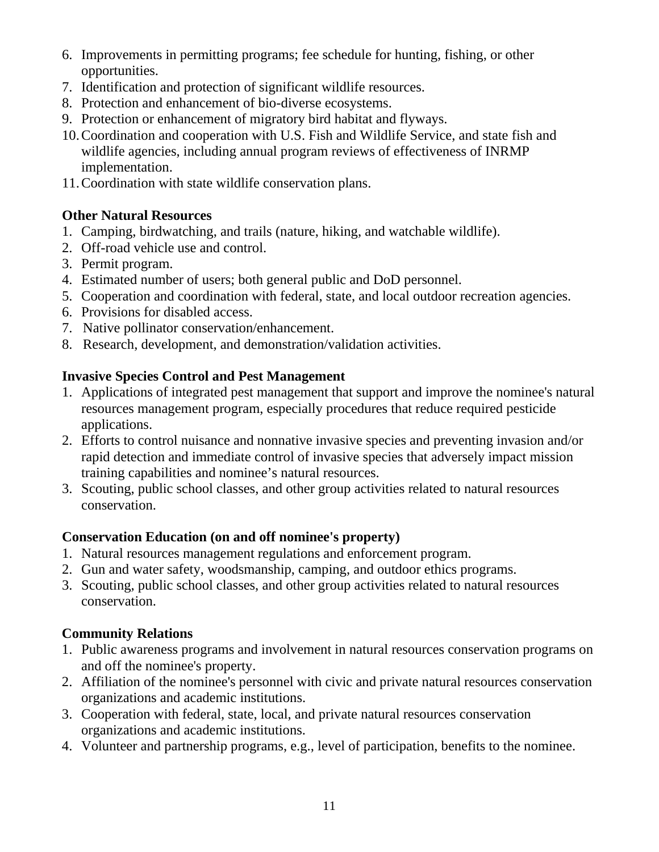- 6. Improvements in permitting programs; fee schedule for hunting, fishing, or other opportunities.
- 7. Identification and protection of significant wildlife resources.
- 8. Protection and enhancement of bio-diverse ecosystems.
- 9. Protection or enhancement of migratory bird habitat and flyways.
- 10.Coordination and cooperation with U.S. Fish and Wildlife Service, and state fish and wildlife agencies, including annual program reviews of effectiveness of INRMP implementation.
- 11.Coordination with state wildlife conservation plans.

#### **Other Natural Resources**

- 1. Camping, birdwatching, and trails (nature, hiking, and watchable wildlife).
- 2. Off-road vehicle use and control.
- 3. Permit program.
- 4. Estimated number of users; both general public and DoD personnel.
- 5. Cooperation and coordination with federal, state, and local outdoor recreation agencies.
- 6. Provisions for disabled access.
- 7. Native pollinator conservation/enhancement.
- 8. Research, development, and demonstration/validation activities.

### **Invasive Species Control and Pest Management**

- 1. Applications of integrated pest management that support and improve the nominee's natural resources management program, especially procedures that reduce required pesticide applications.
- 2. Efforts to control nuisance and nonnative invasive species and preventing invasion and/or rapid detection and immediate control of invasive species that adversely impact mission training capabilities and nominee's natural resources.
- 3. Scouting, public school classes, and other group activities related to natural resources conservation.

### **Conservation Education (on and off nominee's property)**

- 1. Natural resources management regulations and enforcement program.
- 2. Gun and water safety, woodsmanship, camping, and outdoor ethics programs.
- 3. Scouting, public school classes, and other group activities related to natural resources conservation.

### **Community Relations**

- 1. Public awareness programs and involvement in natural resources conservation programs on and off the nominee's property.
- 2. Affiliation of the nominee's personnel with civic and private natural resources conservation organizations and academic institutions.
- 3. Cooperation with federal, state, local, and private natural resources conservation organizations and academic institutions.
- 4. Volunteer and partnership programs, e.g., level of participation, benefits to the nominee.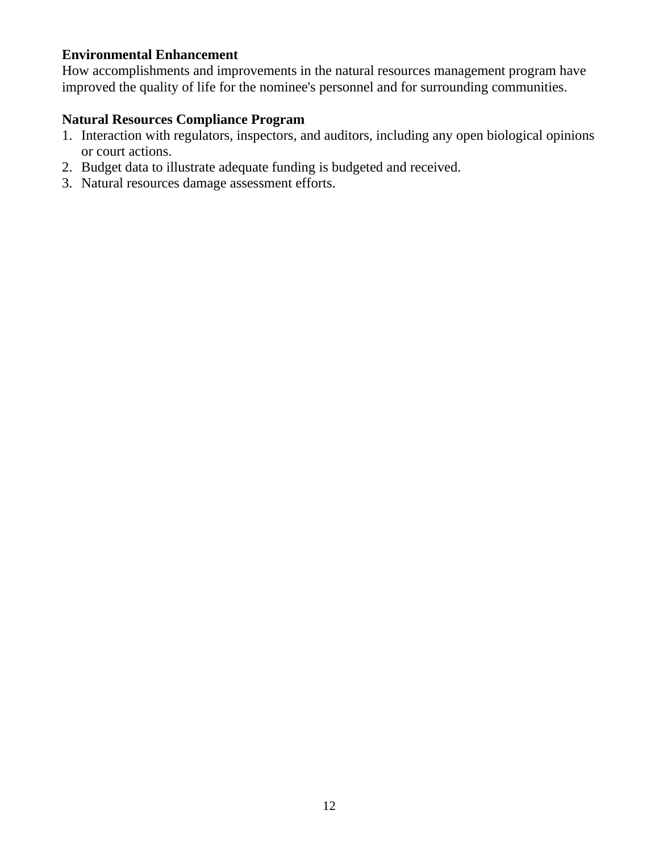# **Environmental Enhancement**

How accomplishments and improvements in the natural resources management program have improved the quality of life for the nominee's personnel and for surrounding communities.

#### **Natural Resources Compliance Program**

- 1. Interaction with regulators, inspectors, and auditors, including any open biological opinions or court actions.
- 2. Budget data to illustrate adequate funding is budgeted and received.
- 3. Natural resources damage assessment efforts.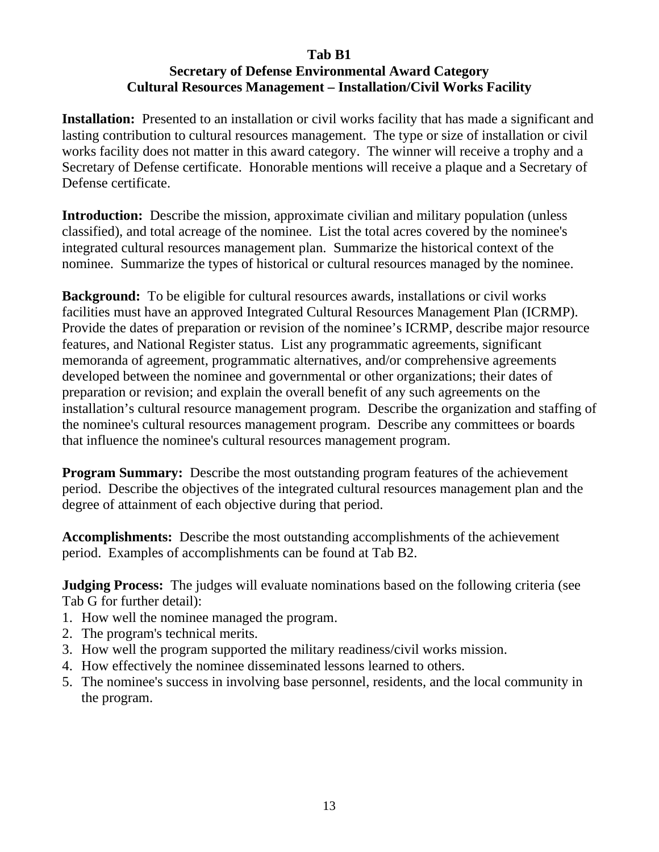#### **Tab B1**

# **Secretary of Defense Environmental Award Category Cultural Resources Management – Installation/Civil Works Facility**

**Installation:** Presented to an installation or civil works facility that has made a significant and lasting contribution to cultural resources management. The type or size of installation or civil works facility does not matter in this award category. The winner will receive a trophy and a Secretary of Defense certificate. Honorable mentions will receive a plaque and a Secretary of Defense certificate.

**Introduction:** Describe the mission, approximate civilian and military population (unless classified), and total acreage of the nominee. List the total acres covered by the nominee's integrated cultural resources management plan. Summarize the historical context of the nominee. Summarize the types of historical or cultural resources managed by the nominee.

**Background:** To be eligible for cultural resources awards, installations or civil works facilities must have an approved Integrated Cultural Resources Management Plan (ICRMP). Provide the dates of preparation or revision of the nominee's ICRMP, describe major resource features, and National Register status. List any programmatic agreements, significant memoranda of agreement, programmatic alternatives, and/or comprehensive agreements developed between the nominee and governmental or other organizations; their dates of preparation or revision; and explain the overall benefit of any such agreements on the installation's cultural resource management program. Describe the organization and staffing of the nominee's cultural resources management program. Describe any committees or boards that influence the nominee's cultural resources management program.

**Program Summary:** Describe the most outstanding program features of the achievement period. Describe the objectives of the integrated cultural resources management plan and the degree of attainment of each objective during that period.

**Accomplishments:** Describe the most outstanding accomplishments of the achievement period. Examples of accomplishments can be found at Tab B2.

**Judging Process:** The judges will evaluate nominations based on the following criteria (see Tab G for further detail):

- 1. How well the nominee managed the program.
- 2. The program's technical merits.
- 3. How well the program supported the military readiness/civil works mission.
- 4. How effectively the nominee disseminated lessons learned to others.
- 5. The nominee's success in involving base personnel, residents, and the local community in the program.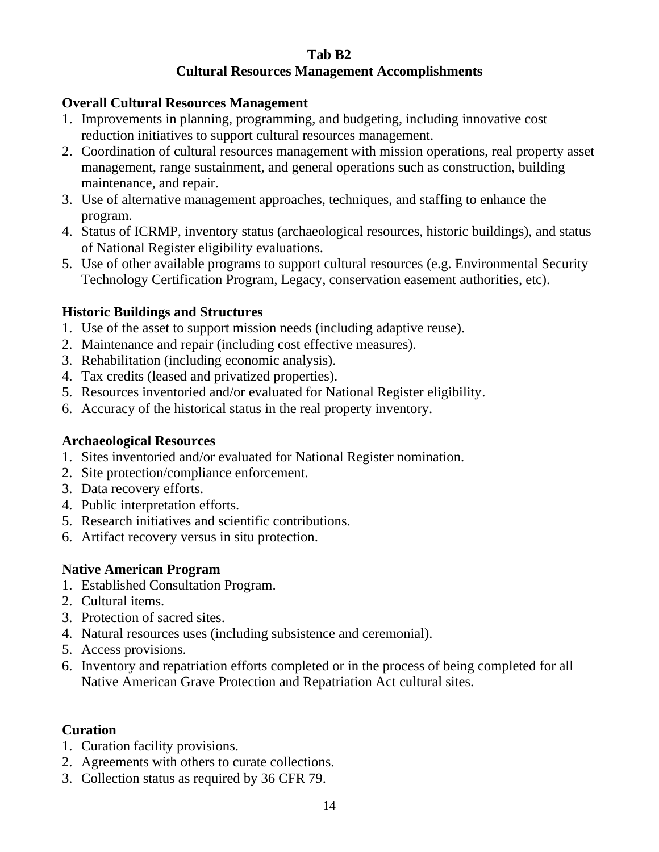# **Tab B2**

### **Cultural Resources Management Accomplishments**

# **Overall Cultural Resources Management**

- 1. Improvements in planning, programming, and budgeting, including innovative cost reduction initiatives to support cultural resources management.
- 2. Coordination of cultural resources management with mission operations, real property asset management, range sustainment, and general operations such as construction, building maintenance, and repair.
- 3. Use of alternative management approaches, techniques, and staffing to enhance the program.
- 4. Status of ICRMP, inventory status (archaeological resources, historic buildings), and status of National Register eligibility evaluations.
- 5. Use of other available programs to support cultural resources (e.g. Environmental Security Technology Certification Program, Legacy, conservation easement authorities, etc).

### **Historic Buildings and Structures**

- 1. Use of the asset to support mission needs (including adaptive reuse).
- 2. Maintenance and repair (including cost effective measures).
- 3. Rehabilitation (including economic analysis).
- 4. Tax credits (leased and privatized properties).
- 5. Resources inventoried and/or evaluated for National Register eligibility.
- 6. Accuracy of the historical status in the real property inventory.

### **Archaeological Resources**

- 1. Sites inventoried and/or evaluated for National Register nomination.
- 2. Site protection/compliance enforcement.
- 3. Data recovery efforts.
- 4. Public interpretation efforts.
- 5. Research initiatives and scientific contributions.
- 6. Artifact recovery versus in situ protection.

### **Native American Program**

- 1. Established Consultation Program.
- 2. Cultural items.
- 3. Protection of sacred sites.
- 4. Natural resources uses (including subsistence and ceremonial).
- 5. Access provisions.
- 6. Inventory and repatriation efforts completed or in the process of being completed for all Native American Grave Protection and Repatriation Act cultural sites.

#### **Curation**

- 1. Curation facility provisions.
- 2. Agreements with others to curate collections.
- 3. Collection status as required by 36 CFR 79.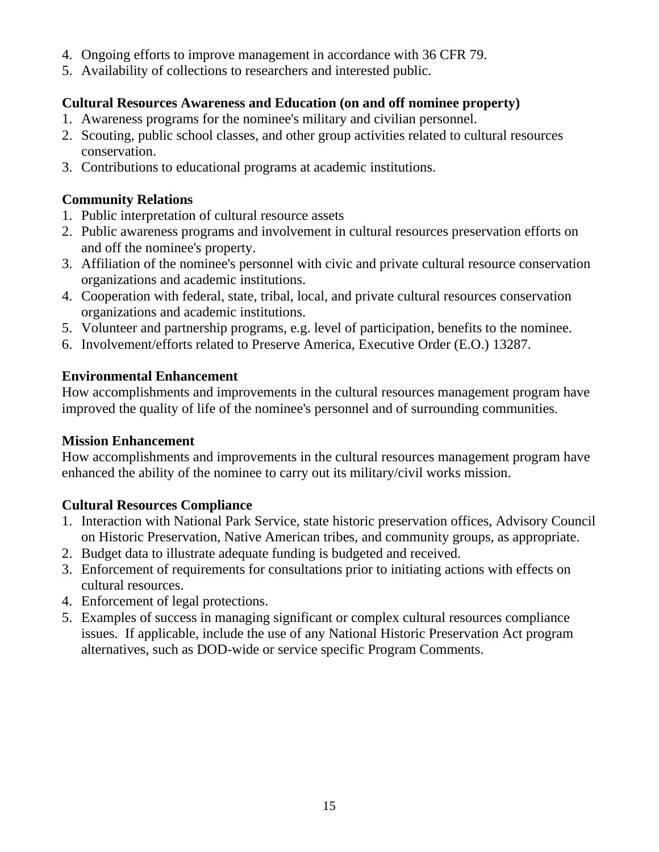- 4. Ongoing efforts to improve management in accordance with 36 CFR 79.
- 5. Availability of collections to researchers and interested public.

#### **Cultural Resources Awareness and Education (on and off nominee property)**

- 1. Awareness programs for the nominee's military and civilian personnel.
- 2. Scouting, public school classes, and other group activities related to cultural resources conservation.
- 3. Contributions to educational programs at academic institutions.

### **Community Relations**

- 1. Public interpretation of cultural resource assets
- 2. Public awareness programs and involvement in cultural resources preservation efforts on and off the nominee's property.
- 3. Affiliation of the nominee's personnel with civic and private cultural resource conservation organizations and academic institutions.
- 4. Cooperation with federal, state, tribal, local, and private cultural resources conservation organizations and academic institutions.
- 5. Volunteer and partnership programs, e.g. level of participation, benefits to the nominee.
- 6. Involvement/efforts related to Preserve America, Executive Order (E.O.) 13287.

#### **Environmental Enhancement**

How accomplishments and improvements in the cultural resources management program have improved the quality of life of the nominee's personnel and of surrounding communities.

### **Mission Enhancement**

How accomplishments and improvements in the cultural resources management program have enhanced the ability of the nominee to carry out its military/civil works mission.

### **Cultural Resources Compliance**

- 1. Interaction with National Park Service, state historic preservation offices, Advisory Council on Historic Preservation, Native American tribes, and community groups, as appropriate.
- 2. Budget data to illustrate adequate funding is budgeted and received.
- 3. Enforcement of requirements for consultations prior to initiating actions with effects on cultural resources.
- 4. Enforcement of legal protections.
- 5. Examples of success in managing significant or complex cultural resources compliance issues. If applicable, include the use of any National Historic Preservation Act program alternatives, such as DOD-wide or service specific Program Comments.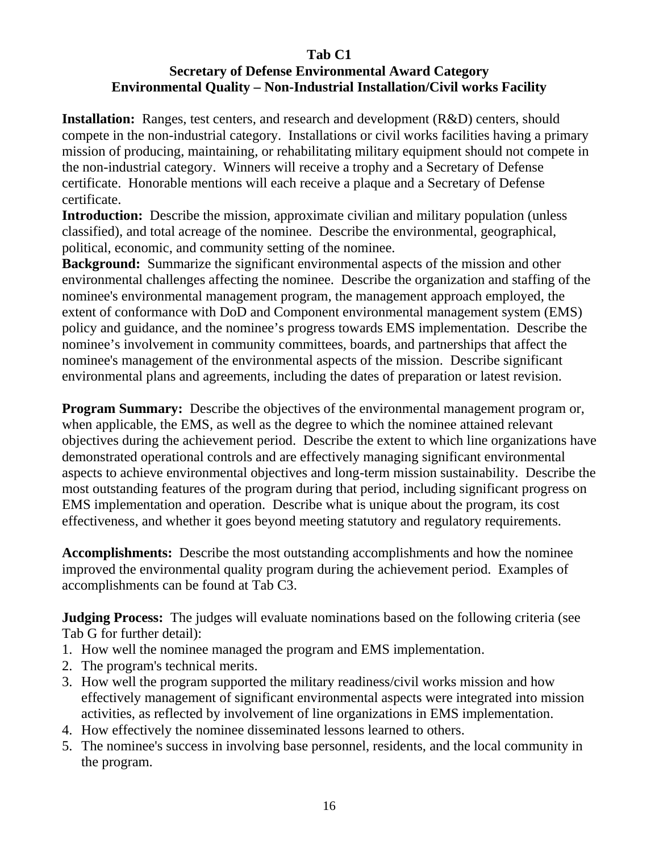#### **Tab C1**

# **Secretary of Defense Environmental Award Category Environmental Quality – Non-Industrial Installation/Civil works Facility**

**Installation:** Ranges, test centers, and research and development (R&D) centers, should compete in the non-industrial category. Installations or civil works facilities having a primary mission of producing, maintaining, or rehabilitating military equipment should not compete in the non-industrial category. Winners will receive a trophy and a Secretary of Defense certificate. Honorable mentions will each receive a plaque and a Secretary of Defense certificate.

**Introduction:** Describe the mission, approximate civilian and military population (unless classified), and total acreage of the nominee. Describe the environmental, geographical, political, economic, and community setting of the nominee.

**Background:** Summarize the significant environmental aspects of the mission and other environmental challenges affecting the nominee. Describe the organization and staffing of the nominee's environmental management program, the management approach employed, the extent of conformance with DoD and Component environmental management system (EMS) policy and guidance, and the nominee's progress towards EMS implementation. Describe the nominee's involvement in community committees, boards, and partnerships that affect the nominee's management of the environmental aspects of the mission. Describe significant environmental plans and agreements, including the dates of preparation or latest revision.

**Program Summary:** Describe the objectives of the environmental management program or, when applicable, the EMS, as well as the degree to which the nominee attained relevant objectives during the achievement period. Describe the extent to which line organizations have demonstrated operational controls and are effectively managing significant environmental aspects to achieve environmental objectives and long-term mission sustainability. Describe the most outstanding features of the program during that period, including significant progress on EMS implementation and operation. Describe what is unique about the program, its cost effectiveness, and whether it goes beyond meeting statutory and regulatory requirements.

**Accomplishments:** Describe the most outstanding accomplishments and how the nominee improved the environmental quality program during the achievement period. Examples of accomplishments can be found at Tab C3.

**Judging Process:** The judges will evaluate nominations based on the following criteria (see Tab G for further detail):

- 1. How well the nominee managed the program and EMS implementation.
- 2. The program's technical merits.
- 3. How well the program supported the military readiness/civil works mission and how effectively management of significant environmental aspects were integrated into mission activities, as reflected by involvement of line organizations in EMS implementation.
- 4. How effectively the nominee disseminated lessons learned to others.
- 5. The nominee's success in involving base personnel, residents, and the local community in the program.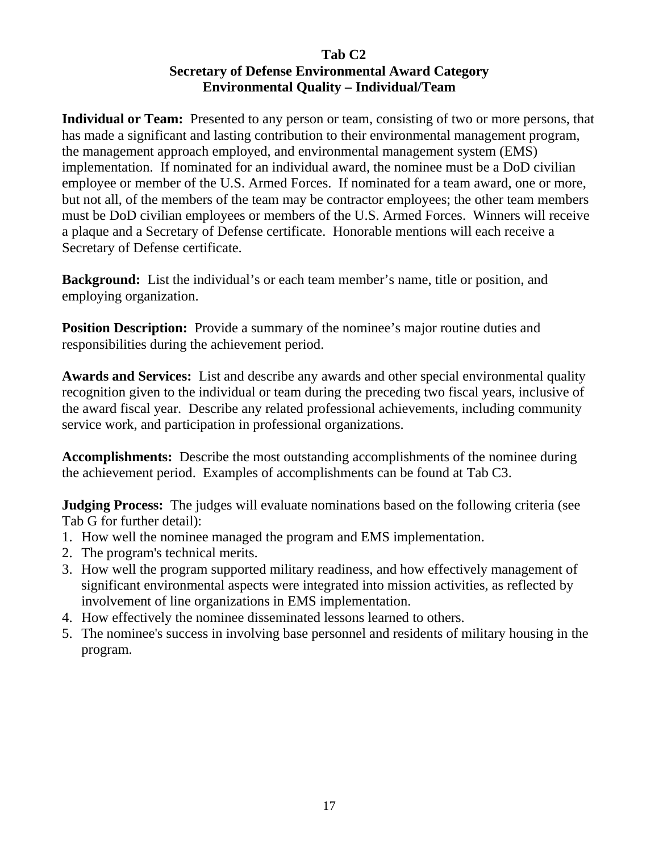#### **Tab C2 Secretary of Defense Environmental Award Category Environmental Quality – Individual/Team**

**Individual or Team:** Presented to any person or team, consisting of two or more persons, that has made a significant and lasting contribution to their environmental management program, the management approach employed, and environmental management system (EMS) implementation. If nominated for an individual award, the nominee must be a DoD civilian employee or member of the U.S. Armed Forces. If nominated for a team award, one or more, but not all, of the members of the team may be contractor employees; the other team members must be DoD civilian employees or members of the U.S. Armed Forces. Winners will receive a plaque and a Secretary of Defense certificate. Honorable mentions will each receive a Secretary of Defense certificate.

**Background:** List the individual's or each team member's name, title or position, and employing organization.

**Position Description:** Provide a summary of the nominee's major routine duties and responsibilities during the achievement period.

**Awards and Services:** List and describe any awards and other special environmental quality recognition given to the individual or team during the preceding two fiscal years, inclusive of the award fiscal year. Describe any related professional achievements, including community service work, and participation in professional organizations.

**Accomplishments:** Describe the most outstanding accomplishments of the nominee during the achievement period. Examples of accomplishments can be found at Tab C3.

**Judging Process:** The judges will evaluate nominations based on the following criteria (see Tab G for further detail):

- 1. How well the nominee managed the program and EMS implementation.
- 2. The program's technical merits.
- 3. How well the program supported military readiness, and how effectively management of significant environmental aspects were integrated into mission activities, as reflected by involvement of line organizations in EMS implementation.
- 4. How effectively the nominee disseminated lessons learned to others.
- 5. The nominee's success in involving base personnel and residents of military housing in the program.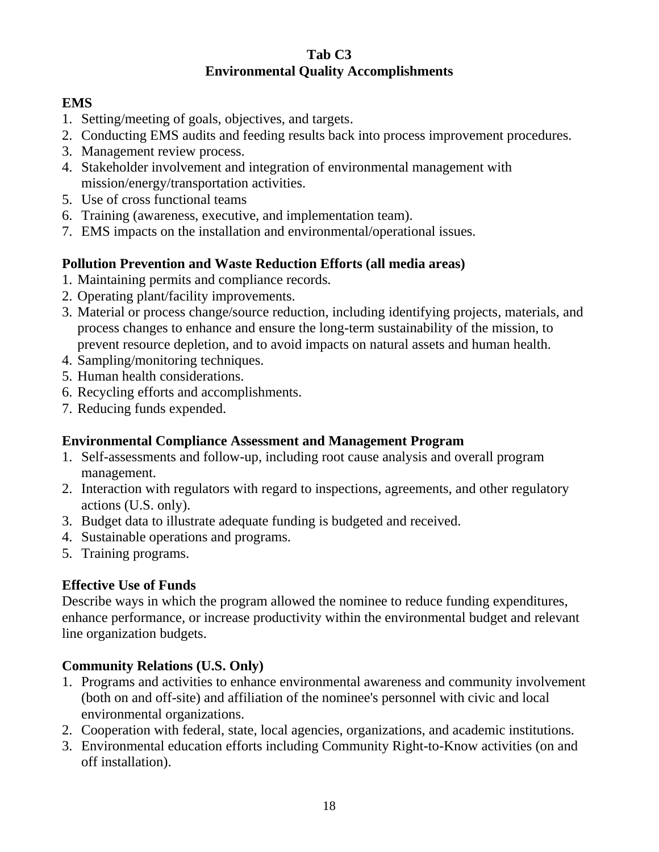#### **Tab C3 Environmental Quality Accomplishments**

# **EMS**

- 1. Setting/meeting of goals, objectives, and targets.
- 2. Conducting EMS audits and feeding results back into process improvement procedures.
- 3. Management review process.
- 4. Stakeholder involvement and integration of environmental management with mission/energy/transportation activities.
- 5. Use of cross functional teams
- 6. Training (awareness, executive, and implementation team).
- 7. EMS impacts on the installation and environmental/operational issues.

### **Pollution Prevention and Waste Reduction Efforts (all media areas)**

- 1. Maintaining permits and compliance records.
- 2. Operating plant/facility improvements.
- 3. Material or process change/source reduction, including identifying projects, materials, and process changes to enhance and ensure the long-term sustainability of the mission, to prevent resource depletion, and to avoid impacts on natural assets and human health.
- 4. Sampling/monitoring techniques.
- 5. Human health considerations.
- 6. Recycling efforts and accomplishments.
- 7. Reducing funds expended.

### **Environmental Compliance Assessment and Management Program**

- 1. Self-assessments and follow-up, including root cause analysis and overall program management.
- 2. Interaction with regulators with regard to inspections, agreements, and other regulatory actions (U.S. only).
- 3. Budget data to illustrate adequate funding is budgeted and received.
- 4. Sustainable operations and programs.
- 5. Training programs.

### **Effective Use of Funds**

Describe ways in which the program allowed the nominee to reduce funding expenditures, enhance performance, or increase productivity within the environmental budget and relevant line organization budgets.

### **Community Relations (U.S. Only)**

- 1. Programs and activities to enhance environmental awareness and community involvement (both on and off-site) and affiliation of the nominee's personnel with civic and local environmental organizations.
- 2. Cooperation with federal, state, local agencies, organizations, and academic institutions.
- 3. Environmental education efforts including Community Right-to-Know activities (on and off installation).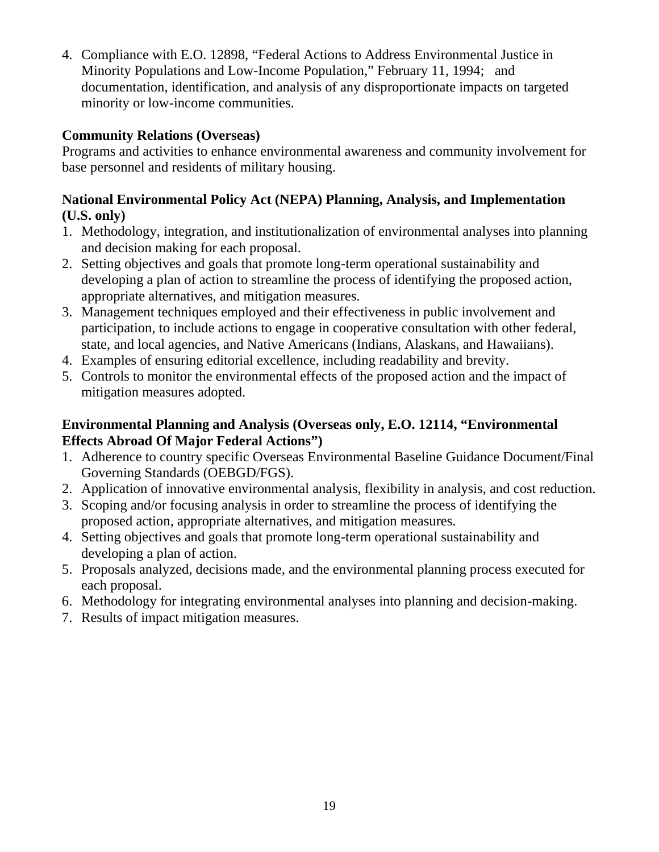4. Compliance with E.O. 12898, "Federal Actions to Address Environmental Justice in Minority Populations and Low-Income Population," February 11, 1994; and documentation, identification, and analysis of any disproportionate impacts on targeted minority or low-income communities.

# **Community Relations (Overseas)**

Programs and activities to enhance environmental awareness and community involvement for base personnel and residents of military housing.

### **National Environmental Policy Act (NEPA) Planning, Analysis, and Implementation (U.S. only)**

- 1. Methodology, integration, and institutionalization of environmental analyses into planning and decision making for each proposal.
- 2. Setting objectives and goals that promote long-term operational sustainability and developing a plan of action to streamline the process of identifying the proposed action, appropriate alternatives, and mitigation measures.
- 3. Management techniques employed and their effectiveness in public involvement and participation, to include actions to engage in cooperative consultation with other federal, state, and local agencies, and Native Americans (Indians, Alaskans, and Hawaiians).
- 4. Examples of ensuring editorial excellence, including readability and brevity.
- 5. Controls to monitor the environmental effects of the proposed action and the impact of mitigation measures adopted.

## **Environmental Planning and Analysis (Overseas only, E.O. 12114, "Environmental Effects Abroad Of Major Federal Actions")**

- 1. Adherence to country specific Overseas Environmental Baseline Guidance Document/Final Governing Standards (OEBGD/FGS).
- 2. Application of innovative environmental analysis, flexibility in analysis, and cost reduction.
- 3. Scoping and/or focusing analysis in order to streamline the process of identifying the proposed action, appropriate alternatives, and mitigation measures.
- 4. Setting objectives and goals that promote long-term operational sustainability and developing a plan of action.
- 5. Proposals analyzed, decisions made, and the environmental planning process executed for each proposal.
- 6. Methodology for integrating environmental analyses into planning and decision-making.
- 7. Results of impact mitigation measures.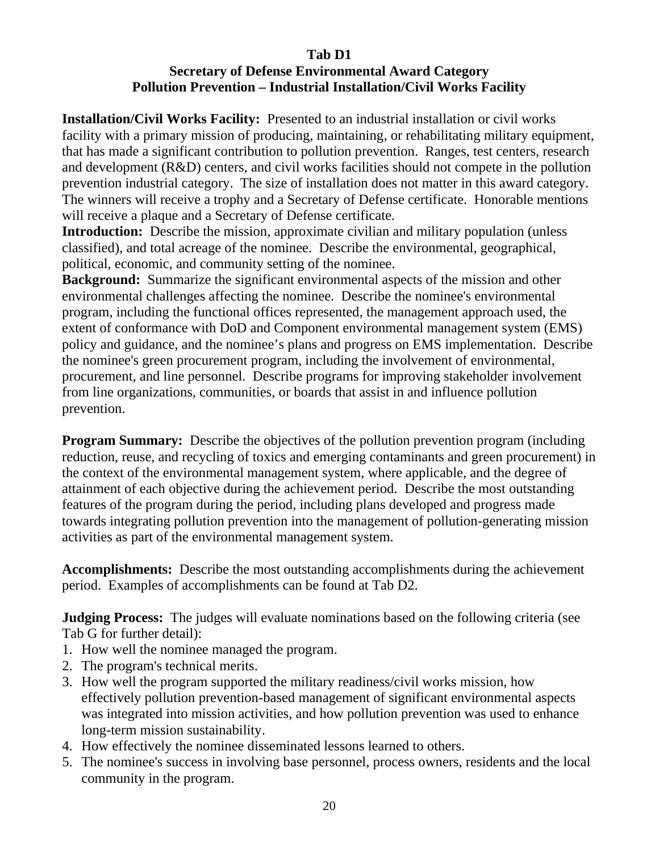#### **Tab D1**

# **Secretary of Defense Environmental Award Category Pollution Prevention – Industrial Installation/Civil Works Facility**

**Installation/Civil Works Facility:** Presented to an industrial installation or civil works facility with a primary mission of producing, maintaining, or rehabilitating military equipment, that has made a significant contribution to pollution prevention. Ranges, test centers, research and development (R&D) centers, and civil works facilities should not compete in the pollution prevention industrial category. The size of installation does not matter in this award category. The winners will receive a trophy and a Secretary of Defense certificate. Honorable mentions will receive a plaque and a Secretary of Defense certificate.

**Introduction:** Describe the mission, approximate civilian and military population (unless classified), and total acreage of the nominee. Describe the environmental, geographical, political, economic, and community setting of the nominee.

**Background:** Summarize the significant environmental aspects of the mission and other environmental challenges affecting the nominee. Describe the nominee's environmental program, including the functional offices represented, the management approach used, the extent of conformance with DoD and Component environmental management system (EMS) policy and guidance, and the nominee's plans and progress on EMS implementation. Describe the nominee's green procurement program, including the involvement of environmental, procurement, and line personnel. Describe programs for improving stakeholder involvement from line organizations, communities, or boards that assist in and influence pollution prevention.

**Program Summary:** Describe the objectives of the pollution prevention program (including reduction, reuse, and recycling of toxics and emerging contaminants and green procurement) in the context of the environmental management system, where applicable, and the degree of attainment of each objective during the achievement period. Describe the most outstanding features of the program during the period, including plans developed and progress made towards integrating pollution prevention into the management of pollution-generating mission activities as part of the environmental management system.

**Accomplishments:** Describe the most outstanding accomplishments during the achievement period. Examples of accomplishments can be found at Tab D2.

**Judging Process:** The judges will evaluate nominations based on the following criteria (see Tab G for further detail):

- 1. How well the nominee managed the program.
- 2. The program's technical merits.
- 3. How well the program supported the military readiness/civil works mission, how effectively pollution prevention-based management of significant environmental aspects was integrated into mission activities, and how pollution prevention was used to enhance long-term mission sustainability.
- 4. How effectively the nominee disseminated lessons learned to others.
- 5. The nominee's success in involving base personnel, process owners, residents and the local community in the program.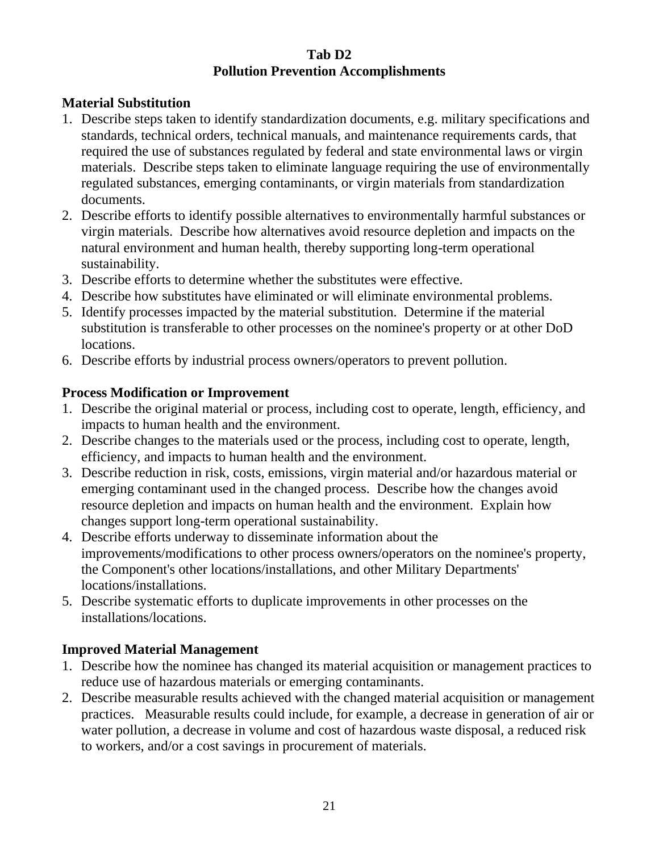#### **Tab D2 Pollution Prevention Accomplishments**

### **Material Substitution**

- 1. Describe steps taken to identify standardization documents, e.g. military specifications and standards, technical orders, technical manuals, and maintenance requirements cards, that required the use of substances regulated by federal and state environmental laws or virgin materials. Describe steps taken to eliminate language requiring the use of environmentally regulated substances, emerging contaminants, or virgin materials from standardization documents.
- 2. Describe efforts to identify possible alternatives to environmentally harmful substances or virgin materials. Describe how alternatives avoid resource depletion and impacts on the natural environment and human health, thereby supporting long-term operational sustainability.
- 3. Describe efforts to determine whether the substitutes were effective.
- 4. Describe how substitutes have eliminated or will eliminate environmental problems.
- 5. Identify processes impacted by the material substitution. Determine if the material substitution is transferable to other processes on the nominee's property or at other DoD locations.
- 6. Describe efforts by industrial process owners/operators to prevent pollution.

### **Process Modification or Improvement**

- 1. Describe the original material or process, including cost to operate, length, efficiency, and impacts to human health and the environment.
- 2. Describe changes to the materials used or the process, including cost to operate, length, efficiency, and impacts to human health and the environment.
- 3. Describe reduction in risk, costs, emissions, virgin material and/or hazardous material or emerging contaminant used in the changed process. Describe how the changes avoid resource depletion and impacts on human health and the environment. Explain how changes support long-term operational sustainability.
- 4. Describe efforts underway to disseminate information about the improvements/modifications to other process owners/operators on the nominee's property, the Component's other locations/installations, and other Military Departments' locations/installations.
- 5. Describe systematic efforts to duplicate improvements in other processes on the installations/locations.

### **Improved Material Management**

- 1. Describe how the nominee has changed its material acquisition or management practices to reduce use of hazardous materials or emerging contaminants.
- 2. Describe measurable results achieved with the changed material acquisition or management practices. Measurable results could include, for example, a decrease in generation of air or water pollution, a decrease in volume and cost of hazardous waste disposal, a reduced risk to workers, and/or a cost savings in procurement of materials.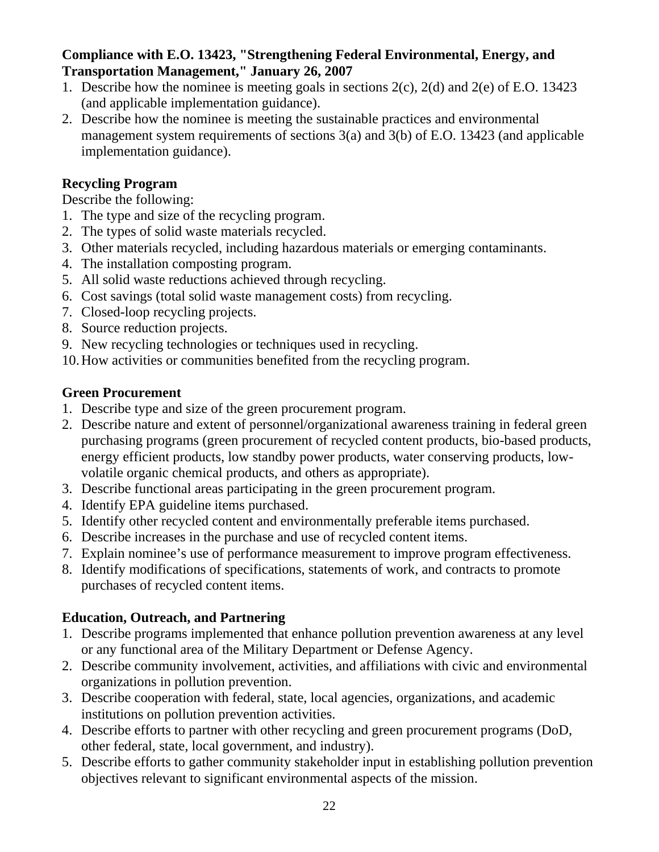#### **Compliance with E.O. 13423, "Strengthening Federal Environmental, Energy, and Transportation Management," January 26, 2007**

- 1. Describe how the nominee is meeting goals in sections 2(c), 2(d) and 2(e) of E.O. 13423 (and applicable implementation guidance).
- 2. Describe how the nominee is meeting the sustainable practices and environmental management system requirements of sections 3(a) and 3(b) of E.O. 13423 (and applicable implementation guidance).

### **Recycling Program**

Describe the following:

- 1. The type and size of the recycling program.
- 2. The types of solid waste materials recycled.
- 3. Other materials recycled, including hazardous materials or emerging contaminants.
- 4. The installation composting program.
- 5. All solid waste reductions achieved through recycling.
- 6. Cost savings (total solid waste management costs) from recycling.
- 7. Closed-loop recycling projects.
- 8. Source reduction projects.
- 9. New recycling technologies or techniques used in recycling.
- 10.How activities or communities benefited from the recycling program.

# **Green Procurement**

- 1. Describe type and size of the green procurement program.
- 2. Describe nature and extent of personnel/organizational awareness training in federal green purchasing programs (green procurement of recycled content products, bio-based products, energy efficient products, low standby power products, water conserving products, lowvolatile organic chemical products, and others as appropriate).
- 3. Describe functional areas participating in the green procurement program.
- 4. Identify EPA guideline items purchased.
- 5. Identify other recycled content and environmentally preferable items purchased.
- 6. Describe increases in the purchase and use of recycled content items.
- 7. Explain nominee's use of performance measurement to improve program effectiveness.
- 8. Identify modifications of specifications, statements of work, and contracts to promote purchases of recycled content items.

# **Education, Outreach, and Partnering**

- 1. Describe programs implemented that enhance pollution prevention awareness at any level or any functional area of the Military Department or Defense Agency.
- 2. Describe community involvement, activities, and affiliations with civic and environmental organizations in pollution prevention.
- 3. Describe cooperation with federal, state, local agencies, organizations, and academic institutions on pollution prevention activities.
- 4. Describe efforts to partner with other recycling and green procurement programs (DoD, other federal, state, local government, and industry).
- 5. Describe efforts to gather community stakeholder input in establishing pollution prevention objectives relevant to significant environmental aspects of the mission.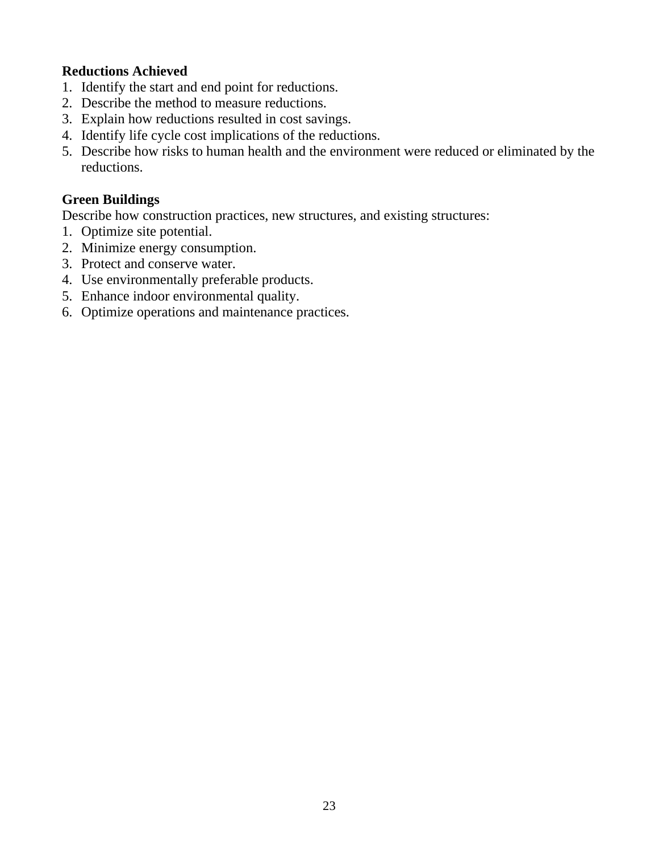#### **Reductions Achieved**

- 1. Identify the start and end point for reductions.
- 2. Describe the method to measure reductions.
- 3. Explain how reductions resulted in cost savings.
- 4. Identify life cycle cost implications of the reductions.
- 5. Describe how risks to human health and the environment were reduced or eliminated by the reductions.

#### **Green Buildings**

Describe how construction practices, new structures, and existing structures:

- 1. Optimize site potential.
- 2. Minimize energy consumption.
- 3. Protect and conserve water.
- 4. Use environmentally preferable products.
- 5. Enhance indoor environmental quality.
- 6. Optimize operations and maintenance practices.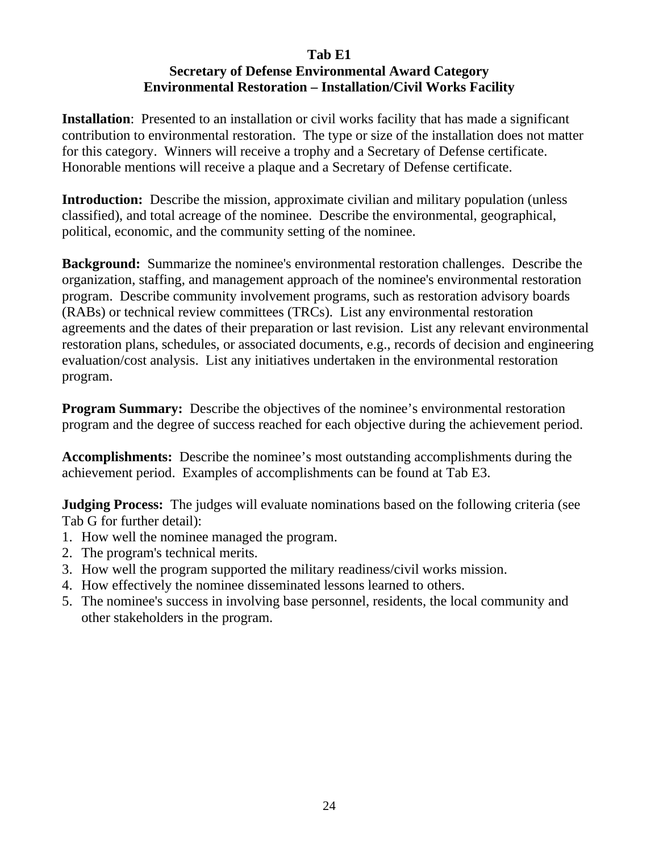#### **Tab E1**

# **Secretary of Defense Environmental Award Category Environmental Restoration – Installation/Civil Works Facility**

**Installation**: Presented to an installation or civil works facility that has made a significant contribution to environmental restoration. The type or size of the installation does not matter for this category. Winners will receive a trophy and a Secretary of Defense certificate. Honorable mentions will receive a plaque and a Secretary of Defense certificate.

**Introduction:** Describe the mission, approximate civilian and military population (unless classified), and total acreage of the nominee. Describe the environmental, geographical, political, economic, and the community setting of the nominee.

**Background:** Summarize the nominee's environmental restoration challenges. Describe the organization, staffing, and management approach of the nominee's environmental restoration program. Describe community involvement programs, such as restoration advisory boards (RABs) or technical review committees (TRCs). List any environmental restoration agreements and the dates of their preparation or last revision. List any relevant environmental restoration plans, schedules, or associated documents, e.g., records of decision and engineering evaluation/cost analysis. List any initiatives undertaken in the environmental restoration program.

**Program Summary:** Describe the objectives of the nominee's environmental restoration program and the degree of success reached for each objective during the achievement period.

**Accomplishments:** Describe the nominee's most outstanding accomplishments during the achievement period. Examples of accomplishments can be found at Tab E3.

**Judging Process:** The judges will evaluate nominations based on the following criteria (see Tab G for further detail):

- 1. How well the nominee managed the program.
- 2. The program's technical merits.
- 3. How well the program supported the military readiness/civil works mission.
- 4. How effectively the nominee disseminated lessons learned to others.
- 5. The nominee's success in involving base personnel, residents, the local community and other stakeholders in the program.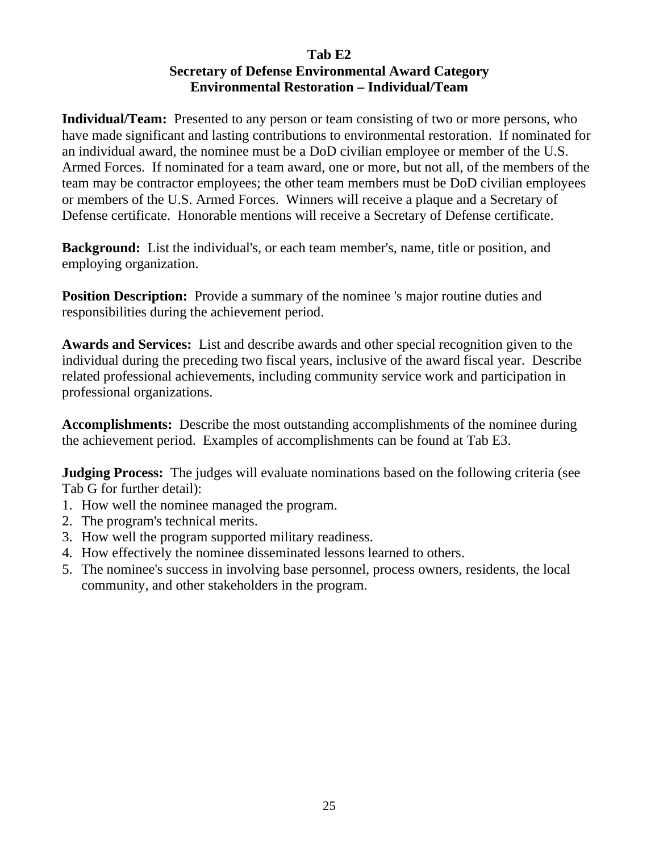#### **Tab E2 Secretary of Defense Environmental Award Category Environmental Restoration – Individual/Team**

**Individual/Team:** Presented to any person or team consisting of two or more persons, who have made significant and lasting contributions to environmental restoration. If nominated for an individual award, the nominee must be a DoD civilian employee or member of the U.S. Armed Forces. If nominated for a team award, one or more, but not all, of the members of the team may be contractor employees; the other team members must be DoD civilian employees or members of the U.S. Armed Forces. Winners will receive a plaque and a Secretary of Defense certificate. Honorable mentions will receive a Secretary of Defense certificate.

**Background:** List the individual's, or each team member's, name, title or position, and employing organization.

**Position Description:** Provide a summary of the nominee 's major routine duties and responsibilities during the achievement period.

**Awards and Services:** List and describe awards and other special recognition given to the individual during the preceding two fiscal years, inclusive of the award fiscal year. Describe related professional achievements, including community service work and participation in professional organizations.

**Accomplishments:** Describe the most outstanding accomplishments of the nominee during the achievement period. Examples of accomplishments can be found at Tab E3.

**Judging Process:** The judges will evaluate nominations based on the following criteria (see Tab G for further detail):

- 1. How well the nominee managed the program.
- 2. The program's technical merits.
- 3. How well the program supported military readiness.
- 4. How effectively the nominee disseminated lessons learned to others.
- 5. The nominee's success in involving base personnel, process owners, residents, the local community, and other stakeholders in the program.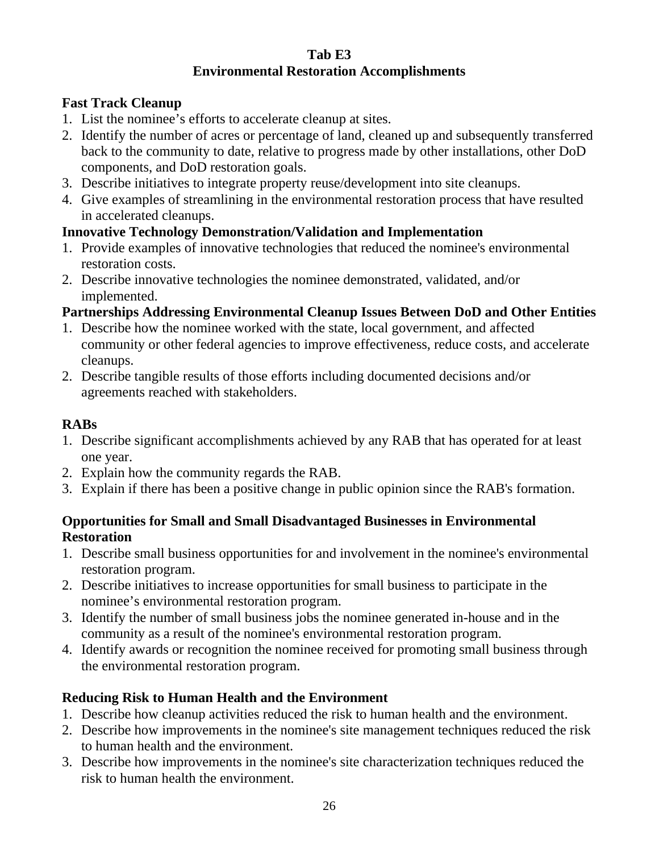#### **Tab E3 Environmental Restoration Accomplishments**

### **Fast Track Cleanup**

- 1. List the nominee's efforts to accelerate cleanup at sites.
- 2. Identify the number of acres or percentage of land, cleaned up and subsequently transferred back to the community to date, relative to progress made by other installations, other DoD components, and DoD restoration goals.
- 3. Describe initiatives to integrate property reuse/development into site cleanups.
- 4. Give examples of streamlining in the environmental restoration process that have resulted in accelerated cleanups.

### **Innovative Technology Demonstration/Validation and Implementation**

- 1. Provide examples of innovative technologies that reduced the nominee's environmental restoration costs.
- 2. Describe innovative technologies the nominee demonstrated, validated, and/or implemented.

### **Partnerships Addressing Environmental Cleanup Issues Between DoD and Other Entities**

- 1. Describe how the nominee worked with the state, local government, and affected community or other federal agencies to improve effectiveness, reduce costs, and accelerate cleanups.
- 2. Describe tangible results of those efforts including documented decisions and/or agreements reached with stakeholders.

## **RABs**

- 1. Describe significant accomplishments achieved by any RAB that has operated for at least one year.
- 2. Explain how the community regards the RAB.
- 3. Explain if there has been a positive change in public opinion since the RAB's formation.

### **Opportunities for Small and Small Disadvantaged Businesses in Environmental Restoration**

- 1. Describe small business opportunities for and involvement in the nominee's environmental restoration program.
- 2. Describe initiatives to increase opportunities for small business to participate in the nominee's environmental restoration program.
- 3. Identify the number of small business jobs the nominee generated in-house and in the community as a result of the nominee's environmental restoration program.
- 4. Identify awards or recognition the nominee received for promoting small business through the environmental restoration program.

### **Reducing Risk to Human Health and the Environment**

- 1. Describe how cleanup activities reduced the risk to human health and the environment.
- 2. Describe how improvements in the nominee's site management techniques reduced the risk to human health and the environment.
- 3. Describe how improvements in the nominee's site characterization techniques reduced the risk to human health the environment.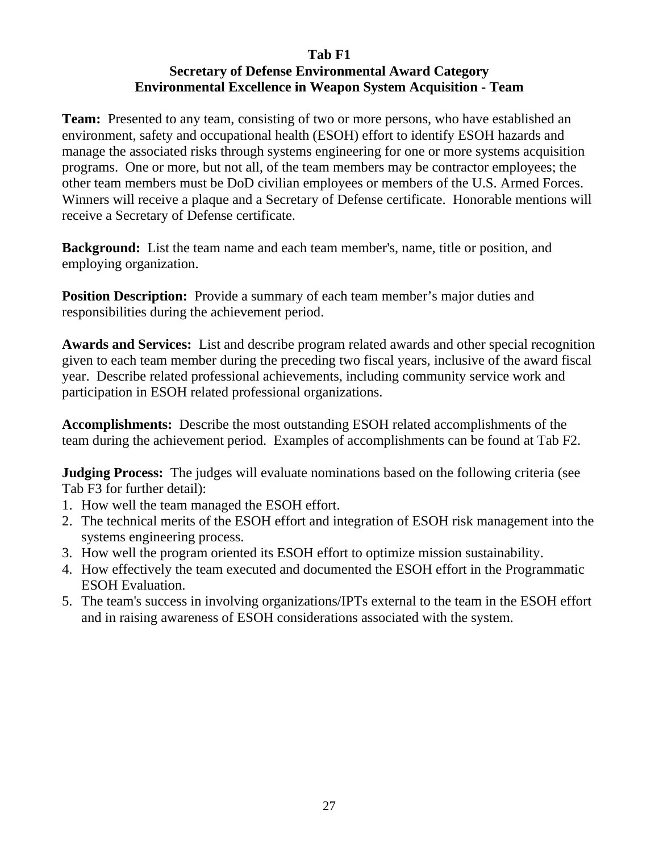#### **Tab F1**

# **Secretary of Defense Environmental Award Category Environmental Excellence in Weapon System Acquisition - Team**

**Team:** Presented to any team, consisting of two or more persons, who have established an environment, safety and occupational health (ESOH) effort to identify ESOH hazards and manage the associated risks through systems engineering for one or more systems acquisition programs. One or more, but not all, of the team members may be contractor employees; the other team members must be DoD civilian employees or members of the U.S. Armed Forces. Winners will receive a plaque and a Secretary of Defense certificate. Honorable mentions will receive a Secretary of Defense certificate.

**Background:** List the team name and each team member's, name, title or position, and employing organization.

**Position Description:** Provide a summary of each team member's major duties and responsibilities during the achievement period.

**Awards and Services:** List and describe program related awards and other special recognition given to each team member during the preceding two fiscal years, inclusive of the award fiscal year. Describe related professional achievements, including community service work and participation in ESOH related professional organizations.

**Accomplishments:** Describe the most outstanding ESOH related accomplishments of the team during the achievement period. Examples of accomplishments can be found at Tab F2.

**Judging Process:** The judges will evaluate nominations based on the following criteria (see Tab F3 for further detail):

- 1. How well the team managed the ESOH effort.
- 2. The technical merits of the ESOH effort and integration of ESOH risk management into the systems engineering process.
- 3. How well the program oriented its ESOH effort to optimize mission sustainability.
- 4. How effectively the team executed and documented the ESOH effort in the Programmatic ESOH Evaluation.
- 5. The team's success in involving organizations/IPTs external to the team in the ESOH effort and in raising awareness of ESOH considerations associated with the system.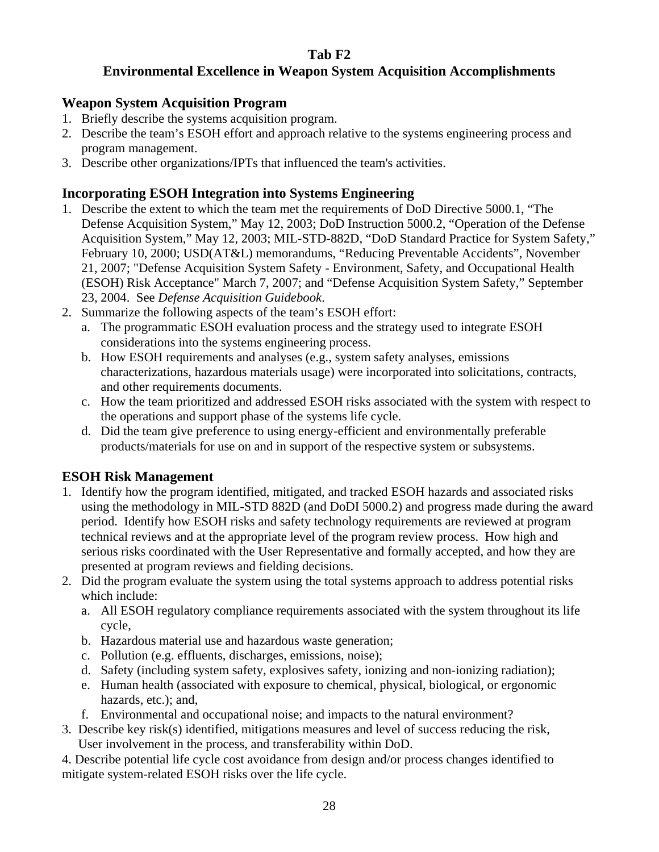#### **Tab F2**

# **Environmental Excellence in Weapon System Acquisition Accomplishments**

### **Weapon System Acquisition Program**

- 1. Briefly describe the systems acquisition program.
- 2. Describe the team's ESOH effort and approach relative to the systems engineering process and program management.
- 3. Describe other organizations/IPTs that influenced the team's activities.

#### **Incorporating ESOH Integration into Systems Engineering**

- 1. Describe the extent to which the team met the requirements of DoD Directive 5000.1, "The Defense Acquisition System," May 12, 2003; DoD Instruction 5000.2, "Operation of the Defense Acquisition System," May 12, 2003; MIL-STD-882D, "DoD Standard Practice for System Safety," February 10, 2000; USD(AT&L) memorandums, "Reducing Preventable Accidents", November 21, 2007; "Defense Acquisition System Safety - Environment, Safety, and Occupational Health (ESOH) Risk Acceptance" March 7, 2007; and "Defense Acquisition System Safety," September 23, 2004. See *Defense Acquisition Guidebook*.
- 2. Summarize the following aspects of the team's ESOH effort:
	- a. The programmatic ESOH evaluation process and the strategy used to integrate ESOH considerations into the systems engineering process.
	- b. How ESOH requirements and analyses (e.g., system safety analyses, emissions characterizations, hazardous materials usage) were incorporated into solicitations, contracts, and other requirements documents.
	- c. How the team prioritized and addressed ESOH risks associated with the system with respect to the operations and support phase of the systems life cycle.
	- d. Did the team give preference to using energy-efficient and environmentally preferable products/materials for use on and in support of the respective system or subsystems.

### **ESOH Risk Management**

- 1. Identify how the program identified, mitigated, and tracked ESOH hazards and associated risks using the methodology in MIL-STD 882D (and DoDI 5000.2) and progress made during the award period. Identify how ESOH risks and safety technology requirements are reviewed at program technical reviews and at the appropriate level of the program review process. How high and serious risks coordinated with the User Representative and formally accepted, and how they are presented at program reviews and fielding decisions.
- 2. Did the program evaluate the system using the total systems approach to address potential risks which include:
	- a. All ESOH regulatory compliance requirements associated with the system throughout its life cycle,
	- b. Hazardous material use and hazardous waste generation;
	- c. Pollution (e.g. effluents, discharges, emissions, noise);
	- d. Safety (including system safety, explosives safety, ionizing and non-ionizing radiation);
	- e. Human health (associated with exposure to chemical, physical, biological, or ergonomic hazards, etc.); and,
	- f. Environmental and occupational noise; and impacts to the natural environment?
- 3. Describe key risk(s) identified, mitigations measures and level of success reducing the risk, User involvement in the process, and transferability within DoD.
- 4. Describe potential life cycle cost avoidance from design and/or process changes identified to mitigate system-related ESOH risks over the life cycle.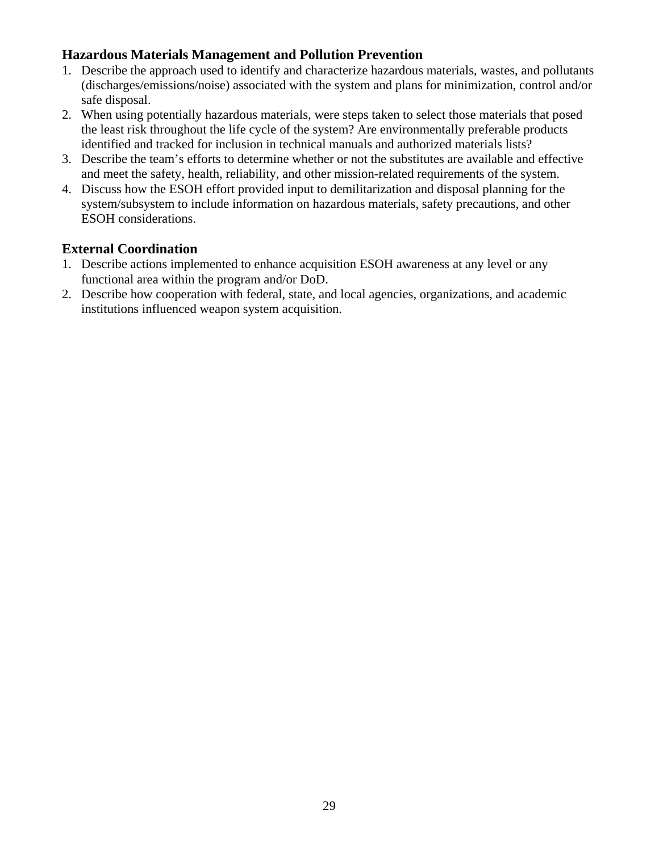#### **Hazardous Materials Management and Pollution Prevention**

- 1. Describe the approach used to identify and characterize hazardous materials, wastes, and pollutants (discharges/emissions/noise) associated with the system and plans for minimization, control and/or safe disposal.
- 2. When using potentially hazardous materials, were steps taken to select those materials that posed the least risk throughout the life cycle of the system? Are environmentally preferable products identified and tracked for inclusion in technical manuals and authorized materials lists?
- 3. Describe the team's efforts to determine whether or not the substitutes are available and effective and meet the safety, health, reliability, and other mission-related requirements of the system.
- 4. Discuss how the ESOH effort provided input to demilitarization and disposal planning for the system/subsystem to include information on hazardous materials, safety precautions, and other ESOH considerations.

#### **External Coordination**

- 1. Describe actions implemented to enhance acquisition ESOH awareness at any level or any functional area within the program and/or DoD.
- 2. Describe how cooperation with federal, state, and local agencies, organizations, and academic institutions influenced weapon system acquisition.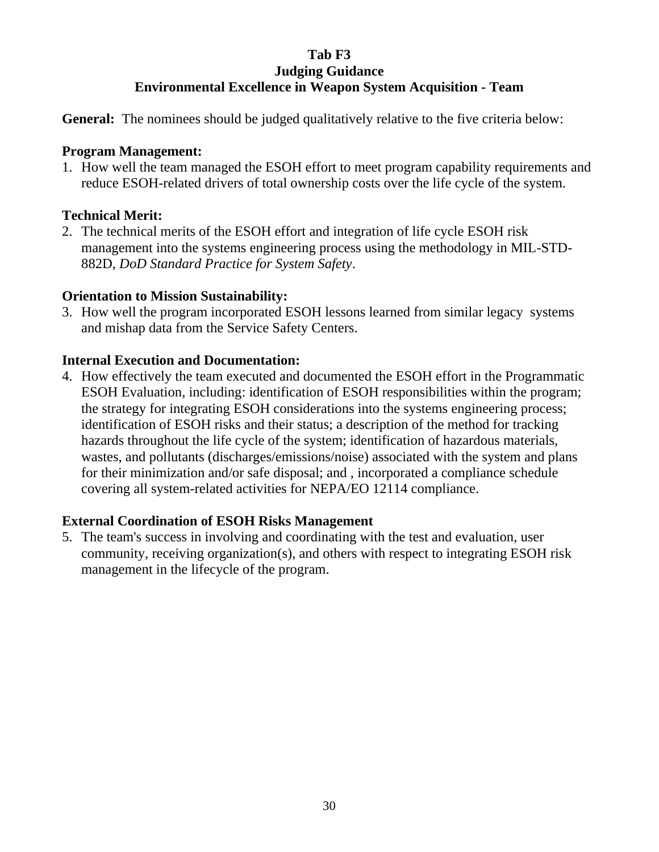## **Tab F3**

#### **Judging Guidance**

# **Environmental Excellence in Weapon System Acquisition - Team**

**General:** The nominees should be judged qualitatively relative to the five criteria below:

#### **Program Management:**

1. How well the team managed the ESOH effort to meet program capability requirements and reduce ESOH-related drivers of total ownership costs over the life cycle of the system.

## **Technical Merit:**

2. The technical merits of the ESOH effort and integration of life cycle ESOH risk management into the systems engineering process using the methodology in MIL-STD-882D, *DoD Standard Practice for System Safety*.

# **Orientation to Mission Sustainability:**

3. How well the program incorporated ESOH lessons learned from similar legacy systems and mishap data from the Service Safety Centers.

# **Internal Execution and Documentation:**

4. How effectively the team executed and documented the ESOH effort in the Programmatic ESOH Evaluation, including: identification of ESOH responsibilities within the program; the strategy for integrating ESOH considerations into the systems engineering process; identification of ESOH risks and their status; a description of the method for tracking hazards throughout the life cycle of the system; identification of hazardous materials, wastes, and pollutants (discharges/emissions/noise) associated with the system and plans for their minimization and/or safe disposal; and , incorporated a compliance schedule covering all system-related activities for NEPA/EO 12114 compliance.

# **External Coordination of ESOH Risks Management**

5. The team's success in involving and coordinating with the test and evaluation, user community, receiving organization(s), and others with respect to integrating ESOH risk management in the lifecycle of the program.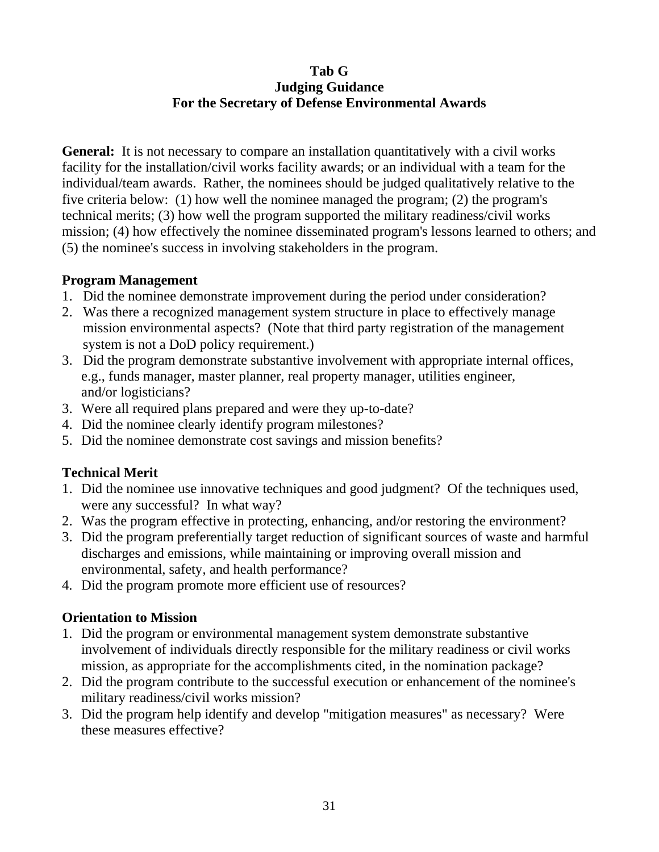#### **Tab G Judging Guidance For the Secretary of Defense Environmental Awards**

**General:** It is not necessary to compare an installation quantitatively with a civil works facility for the installation/civil works facility awards; or an individual with a team for the individual/team awards. Rather, the nominees should be judged qualitatively relative to the five criteria below: (1) how well the nominee managed the program; (2) the program's technical merits; (3) how well the program supported the military readiness/civil works mission; (4) how effectively the nominee disseminated program's lessons learned to others; and (5) the nominee's success in involving stakeholders in the program.

### **Program Management**

- 1.Did the nominee demonstrate improvement during the period under consideration?
- 2. Was there a recognized management system structure in place to effectively manage mission environmental aspects? (Note that third party registration of the management system is not a DoD policy requirement.)
- 3. Did the program demonstrate substantive involvement with appropriate internal offices, e.g., funds manager, master planner, real property manager, utilities engineer, and/or logisticians?
- 3. Were all required plans prepared and were they up-to-date?
- 4. Did the nominee clearly identify program milestones?
- 5. Did the nominee demonstrate cost savings and mission benefits?

# **Technical Merit**

- 1. Did the nominee use innovative techniques and good judgment? Of the techniques used, were any successful? In what way?
- 2. Was the program effective in protecting, enhancing, and/or restoring the environment?
- 3. Did the program preferentially target reduction of significant sources of waste and harmful discharges and emissions, while maintaining or improving overall mission and environmental, safety, and health performance?
- 4. Did the program promote more efficient use of resources?

### **Orientation to Mission**

- 1. Did the program or environmental management system demonstrate substantive involvement of individuals directly responsible for the military readiness or civil works mission, as appropriate for the accomplishments cited, in the nomination package?
- 2. Did the program contribute to the successful execution or enhancement of the nominee's military readiness/civil works mission?
- 3. Did the program help identify and develop "mitigation measures" as necessary? Were these measures effective?